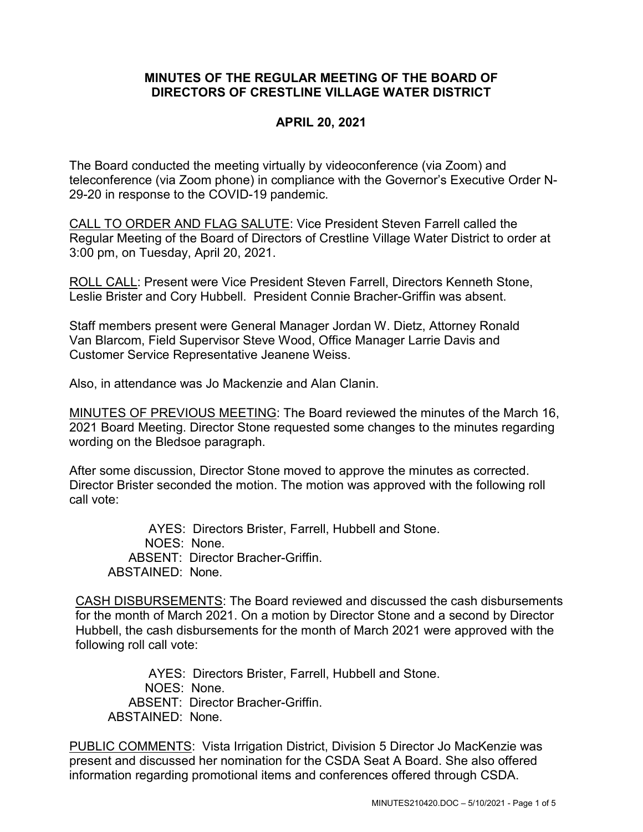## **MINUTES OF THE REGULAR MEETING OF THE BOARD OF DIRECTORS OF CRESTLINE VILLAGE WATER DISTRICT**

## **APRIL 20, 2021**

The Board conducted the meeting virtually by videoconference (via Zoom) and teleconference (via Zoom phone) in compliance with the Governor's Executive Order N-29-20 in response to the COVID-19 pandemic.

CALL TO ORDER AND FLAG SALUTE: Vice President Steven Farrell called the Regular Meeting of the Board of Directors of Crestline Village Water District to order at 3:00 pm, on Tuesday, April 20, 2021.

ROLL CALL: Present were Vice President Steven Farrell, Directors Kenneth Stone, Leslie Brister and Cory Hubbell. President Connie Bracher-Griffin was absent.

Staff members present were General Manager Jordan W. Dietz, Attorney Ronald Van Blarcom, Field Supervisor Steve Wood, Office Manager Larrie Davis and Customer Service Representative Jeanene Weiss.

Also, in attendance was Jo Mackenzie and Alan Clanin.

MINUTES OF PREVIOUS MEETING: The Board reviewed the minutes of the March 16, 2021 Board Meeting. Director Stone requested some changes to the minutes regarding wording on the Bledsoe paragraph.

After some discussion, Director Stone moved to approve the minutes as corrected. Director Brister seconded the motion. The motion was approved with the following roll call vote:

AYES: Directors Brister, Farrell, Hubbell and Stone. NOES: None. ABSENT: Director Bracher-Griffin. ABSTAINED: None.

CASH DISBURSEMENTS: The Board reviewed and discussed the cash disbursements for the month of March 2021. On a motion by Director Stone and a second by Director Hubbell, the cash disbursements for the month of March 2021 were approved with the following roll call vote:

AYES: Directors Brister, Farrell, Hubbell and Stone. NOES: None. ABSENT: Director Bracher-Griffin. ABSTAINED: None.

PUBLIC COMMENTS: Vista Irrigation District, Division 5 Director Jo MacKenzie was present and discussed her nomination for the CSDA Seat A Board. She also offered information regarding promotional items and conferences offered through CSDA.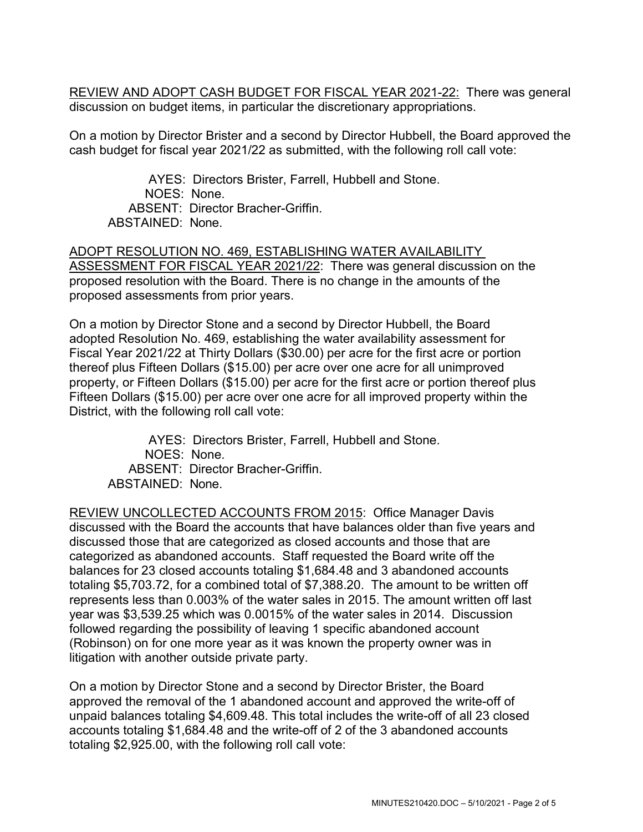REVIEW AND ADOPT CASH BUDGET FOR FISCAL YEAR 2021-22: There was general discussion on budget items, in particular the discretionary appropriations.

On a motion by Director Brister and a second by Director Hubbell, the Board approved the cash budget for fiscal year 2021/22 as submitted, with the following roll call vote:

AYES: Directors Brister, Farrell, Hubbell and Stone. NOES: None. ABSENT: Director Bracher-Griffin. ABSTAINED: None.

ADOPT RESOLUTION NO. 469, ESTABLISHING WATER AVAILABILITY ASSESSMENT FOR FISCAL YEAR 2021/22: There was general discussion on the proposed resolution with the Board. There is no change in the amounts of the proposed assessments from prior years.

On a motion by Director Stone and a second by Director Hubbell, the Board adopted Resolution No. 469, establishing the water availability assessment for Fiscal Year 2021/22 at Thirty Dollars (\$30.00) per acre for the first acre or portion thereof plus Fifteen Dollars (\$15.00) per acre over one acre for all unimproved property, or Fifteen Dollars (\$15.00) per acre for the first acre or portion thereof plus Fifteen Dollars (\$15.00) per acre over one acre for all improved property within the District, with the following roll call vote:

AYES: Directors Brister, Farrell, Hubbell and Stone. NOES: None. ABSENT: Director Bracher-Griffin. ABSTAINED: None.

REVIEW UNCOLLECTED ACCOUNTS FROM 2015: Office Manager Davis discussed with the Board the accounts that have balances older than five years and discussed those that are categorized as closed accounts and those that are categorized as abandoned accounts. Staff requested the Board write off the balances for 23 closed accounts totaling \$1,684.48 and 3 abandoned accounts totaling \$5,703.72, for a combined total of \$7,388.20. The amount to be written off represents less than 0.003% of the water sales in 2015. The amount written off last year was \$3,539.25 which was 0.0015% of the water sales in 2014. Discussion followed regarding the possibility of leaving 1 specific abandoned account (Robinson) on for one more year as it was known the property owner was in litigation with another outside private party.

On a motion by Director Stone and a second by Director Brister, the Board approved the removal of the 1 abandoned account and approved the write-off of unpaid balances totaling \$4,609.48. This total includes the write-off of all 23 closed accounts totaling \$1,684.48 and the write-off of 2 of the 3 abandoned accounts totaling \$2,925.00, with the following roll call vote: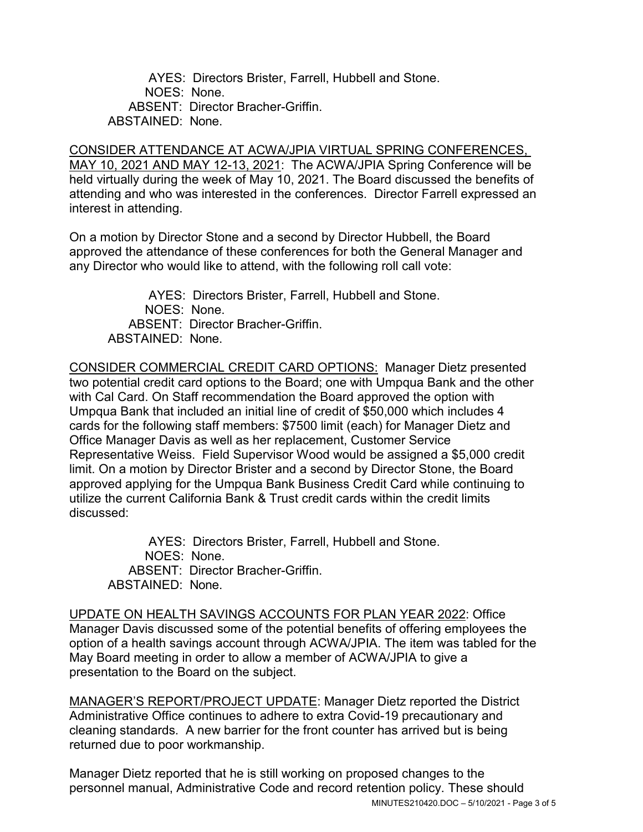AYES: Directors Brister, Farrell, Hubbell and Stone. NOES: None. ABSENT: Director Bracher-Griffin. ABSTAINED: None.

CONSIDER ATTENDANCE AT ACWA/JPIA VIRTUAL SPRING CONFERENCES, MAY 10, 2021 AND MAY 12-13, 2021: The ACWA/JPIA Spring Conference will be held virtually during the week of May 10, 2021. The Board discussed the benefits of attending and who was interested in the conferences. Director Farrell expressed an interest in attending.

On a motion by Director Stone and a second by Director Hubbell, the Board approved the attendance of these conferences for both the General Manager and any Director who would like to attend, with the following roll call vote:

AYES: Directors Brister, Farrell, Hubbell and Stone. NOES: None. ABSENT: Director Bracher-Griffin. ABSTAINED: None.

CONSIDER COMMERCIAL CREDIT CARD OPTIONS: Manager Dietz presented two potential credit card options to the Board; one with Umpqua Bank and the other with Cal Card. On Staff recommendation the Board approved the option with Umpqua Bank that included an initial line of credit of \$50,000 which includes 4 cards for the following staff members: \$7500 limit (each) for Manager Dietz and Office Manager Davis as well as her replacement, Customer Service Representative Weiss. Field Supervisor Wood would be assigned a \$5,000 credit limit. On a motion by Director Brister and a second by Director Stone, the Board approved applying for the Umpqua Bank Business Credit Card while continuing to utilize the current California Bank & Trust credit cards within the credit limits discussed:

AYES: Directors Brister, Farrell, Hubbell and Stone. NOES: None. ABSENT: Director Bracher-Griffin. ABSTAINED: None.

UPDATE ON HEALTH SAVINGS ACCOUNTS FOR PLAN YEAR 2022: Office Manager Davis discussed some of the potential benefits of offering employees the option of a health savings account through ACWA/JPIA. The item was tabled for the May Board meeting in order to allow a member of ACWA/JPIA to give a presentation to the Board on the subject.

MANAGER'S REPORT/PROJECT UPDATE: Manager Dietz reported the District Administrative Office continues to adhere to extra Covid-19 precautionary and cleaning standards. A new barrier for the front counter has arrived but is being returned due to poor workmanship.

MINUTES210420.DOC – 5/10/2021 - Page 3 of 5 Manager Dietz reported that he is still working on proposed changes to the personnel manual, Administrative Code and record retention policy. These should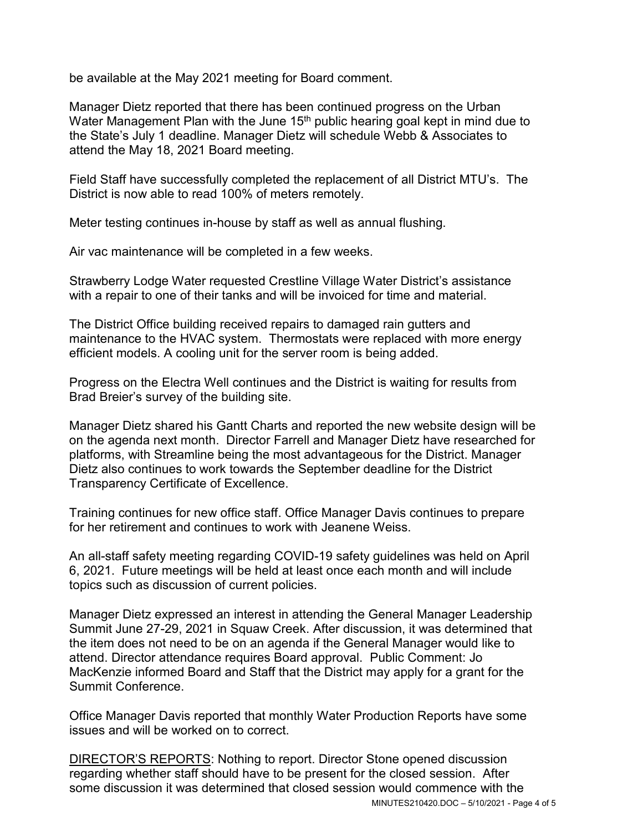be available at the May 2021 meeting for Board comment.

Manager Dietz reported that there has been continued progress on the Urban Water Management Plan with the June 15<sup>th</sup> public hearing goal kept in mind due to the State's July 1 deadline. Manager Dietz will schedule Webb & Associates to attend the May 18, 2021 Board meeting.

Field Staff have successfully completed the replacement of all District MTU's. The District is now able to read 100% of meters remotely.

Meter testing continues in-house by staff as well as annual flushing.

Air vac maintenance will be completed in a few weeks.

Strawberry Lodge Water requested Crestline Village Water District's assistance with a repair to one of their tanks and will be invoiced for time and material.

The District Office building received repairs to damaged rain gutters and maintenance to the HVAC system. Thermostats were replaced with more energy efficient models. A cooling unit for the server room is being added.

Progress on the Electra Well continues and the District is waiting for results from Brad Breier's survey of the building site.

Manager Dietz shared his Gantt Charts and reported the new website design will be on the agenda next month. Director Farrell and Manager Dietz have researched for platforms, with Streamline being the most advantageous for the District. Manager Dietz also continues to work towards the September deadline for the District Transparency Certificate of Excellence.

Training continues for new office staff. Office Manager Davis continues to prepare for her retirement and continues to work with Jeanene Weiss.

An all-staff safety meeting regarding COVID-19 safety guidelines was held on April 6, 2021. Future meetings will be held at least once each month and will include topics such as discussion of current policies.

Manager Dietz expressed an interest in attending the General Manager Leadership Summit June 27-29, 2021 in Squaw Creek. After discussion, it was determined that the item does not need to be on an agenda if the General Manager would like to attend. Director attendance requires Board approval. Public Comment: Jo MacKenzie informed Board and Staff that the District may apply for a grant for the Summit Conference.

Office Manager Davis reported that monthly Water Production Reports have some issues and will be worked on to correct.

MINUTES210420.DOC – 5/10/2021 - Page 4 of 5 DIRECTOR'S REPORTS: Nothing to report. Director Stone opened discussion regarding whether staff should have to be present for the closed session. After some discussion it was determined that closed session would commence with the